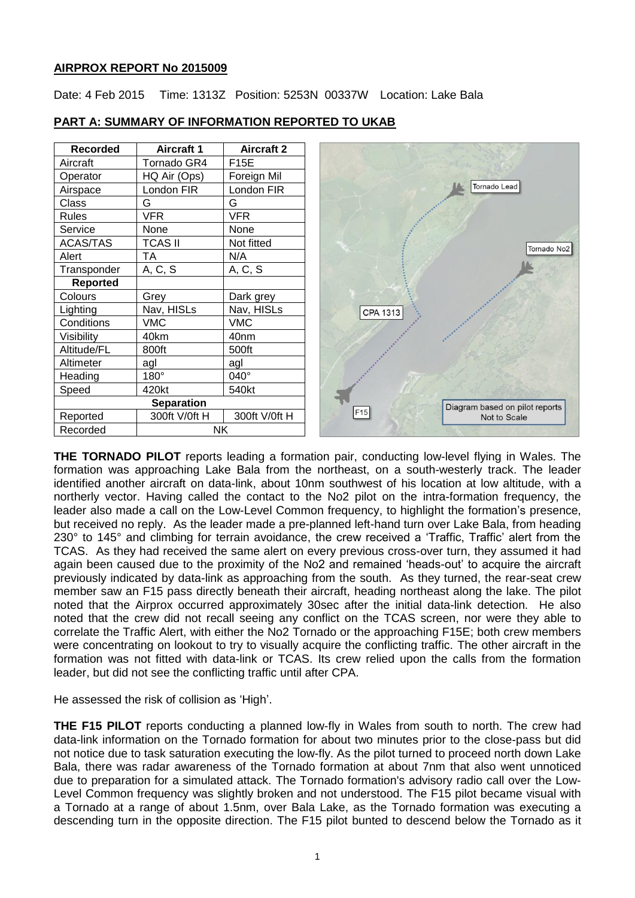### **AIRPROX REPORT No 2015009**

Date: 4 Feb 2015 Time: 1313Z Position: 5253N 00337W Location: Lake Bala

| <b>Recorded</b>   | <b>Aircraft 1</b> | <b>Aircraft 2</b> |                                |
|-------------------|-------------------|-------------------|--------------------------------|
| Aircraft          | Tornado GR4       | F15E              |                                |
| Operator          | HQ Air (Ops)      | Foreign Mil       |                                |
| Airspace          | London FIR        | London FIR        | Tornado Lead                   |
| Class             | G                 | G                 |                                |
| <b>Rules</b>      | <b>VFR</b>        | <b>VFR</b>        |                                |
| Service           | None              | None              |                                |
| <b>ACAS/TAS</b>   | <b>TCAS II</b>    | Not fitted        | Tornado No <sub>2</sub>        |
| Alert             | TA                | N/A               |                                |
| Transponder       | A, C, S           | A, C, S           |                                |
| <b>Reported</b>   |                   |                   |                                |
| Colours           | Grey              | Dark grey         |                                |
| Lighting          | Nav, HISLs        | Nav, HISLs        | CPA 1313                       |
| Conditions        | <b>VMC</b>        | <b>VMC</b>        |                                |
| Visibility        | 40km              | 40 <sub>nm</sub>  |                                |
| Altitude/FL       | 800ft             | 500ft             |                                |
| Altimeter         | agl               | agl               |                                |
| Heading           | $180^\circ$       | 040°              |                                |
| Speed             | 420kt             | 540kt             |                                |
| <b>Separation</b> |                   |                   | Diagram based on pilot reports |
| Reported          | 300ft V/0ft H     | 300ft V/0ft H     | F15<br>Not to Scale            |
| Recorded          | NΚ                |                   |                                |

### **PART A: SUMMARY OF INFORMATION REPORTED TO UKAB**

**THE TORNADO PILOT** reports leading a formation pair, conducting low-level flying in Wales. The formation was approaching Lake Bala from the northeast, on a south-westerly track. The leader identified another aircraft on data-link, about 10nm southwest of his location at low altitude, with a northerly vector. Having called the contact to the No2 pilot on the intra-formation frequency, the leader also made a call on the Low-Level Common frequency, to highlight the formation's presence, but received no reply. As the leader made a pre-planned left-hand turn over Lake Bala, from heading 230° to 145° and climbing for terrain avoidance, the crew received a 'Traffic, Traffic' alert from the TCAS. As they had received the same alert on every previous cross-over turn, they assumed it had again been caused due to the proximity of the No2 and remained 'heads-out' to acquire the aircraft previously indicated by data-link as approaching from the south. As they turned, the rear-seat crew member saw an F15 pass directly beneath their aircraft, heading northeast along the lake. The pilot noted that the Airprox occurred approximately 30sec after the initial data-link detection. He also noted that the crew did not recall seeing any conflict on the TCAS screen, nor were they able to correlate the Traffic Alert, with either the No2 Tornado or the approaching F15E; both crew members were concentrating on lookout to try to visually acquire the conflicting traffic. The other aircraft in the formation was not fitted with data-link or TCAS. Its crew relied upon the calls from the formation leader, but did not see the conflicting traffic until after CPA.

He assessed the risk of collision as 'High'.

**THE F15 PILOT** reports conducting a planned low-fly in Wales from south to north. The crew had data-link information on the Tornado formation for about two minutes prior to the close-pass but did not notice due to task saturation executing the low-fly. As the pilot turned to proceed north down Lake Bala, there was radar awareness of the Tornado formation at about 7nm that also went unnoticed due to preparation for a simulated attack. The Tornado formation's advisory radio call over the Low-Level Common frequency was slightly broken and not understood. The F15 pilot became visual with a Tornado at a range of about 1.5nm, over Bala Lake, as the Tornado formation was executing a descending turn in the opposite direction. The F15 pilot bunted to descend below the Tornado as it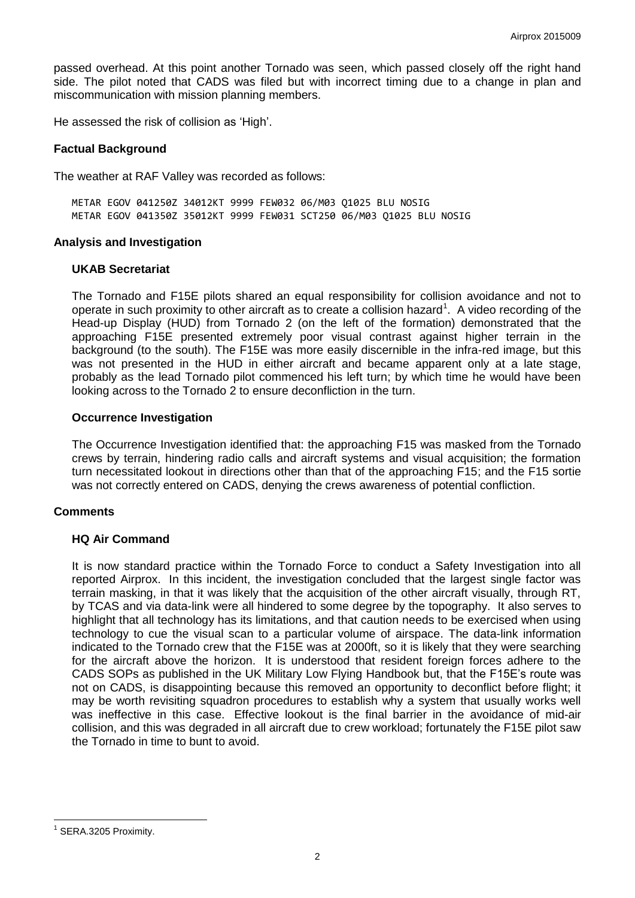passed overhead. At this point another Tornado was seen, which passed closely off the right hand side. The pilot noted that CADS was filed but with incorrect timing due to a change in plan and miscommunication with mission planning members.

He assessed the risk of collision as 'High'.

### **Factual Background**

The weather at RAF Valley was recorded as follows:

METAR EGOV 041250Z 34012KT 9999 FEW032 06/M03 Q1025 BLU NOSIG METAR EGOV 041350Z 35012KT 9999 FEW031 SCT250 06/M03 Q1025 BLU NOSIG

### **Analysis and Investigation**

### **UKAB Secretariat**

The Tornado and F15E pilots shared an equal responsibility for collision avoidance and not to operate in such proximity to other aircraft as to create a collision hazard<sup>1</sup>. A video recording of the Head-up Display (HUD) from Tornado 2 (on the left of the formation) demonstrated that the approaching F15E presented extremely poor visual contrast against higher terrain in the background (to the south). The F15E was more easily discernible in the infra-red image, but this was not presented in the HUD in either aircraft and became apparent only at a late stage, probably as the lead Tornado pilot commenced his left turn; by which time he would have been looking across to the Tornado 2 to ensure deconfliction in the turn.

### **Occurrence Investigation**

The Occurrence Investigation identified that: the approaching F15 was masked from the Tornado crews by terrain, hindering radio calls and aircraft systems and visual acquisition; the formation turn necessitated lookout in directions other than that of the approaching F15; and the F15 sortie was not correctly entered on CADS, denying the crews awareness of potential confliction.

## **Comments**

## **HQ Air Command**

It is now standard practice within the Tornado Force to conduct a Safety Investigation into all reported Airprox. In this incident, the investigation concluded that the largest single factor was terrain masking, in that it was likely that the acquisition of the other aircraft visually, through RT, by TCAS and via data-link were all hindered to some degree by the topography. It also serves to highlight that all technology has its limitations, and that caution needs to be exercised when using technology to cue the visual scan to a particular volume of airspace. The data-link information indicated to the Tornado crew that the F15E was at 2000ft, so it is likely that they were searching for the aircraft above the horizon. It is understood that resident foreign forces adhere to the CADS SOPs as published in the UK Military Low Flying Handbook but, that the F15E's route was not on CADS, is disappointing because this removed an opportunity to deconflict before flight; it may be worth revisiting squadron procedures to establish why a system that usually works well was ineffective in this case. Effective lookout is the final barrier in the avoidance of mid-air collision, and this was degraded in all aircraft due to crew workload; fortunately the F15E pilot saw the Tornado in time to bunt to avoid.

 $\overline{a}$ <sup>1</sup> SERA.3205 Proximity.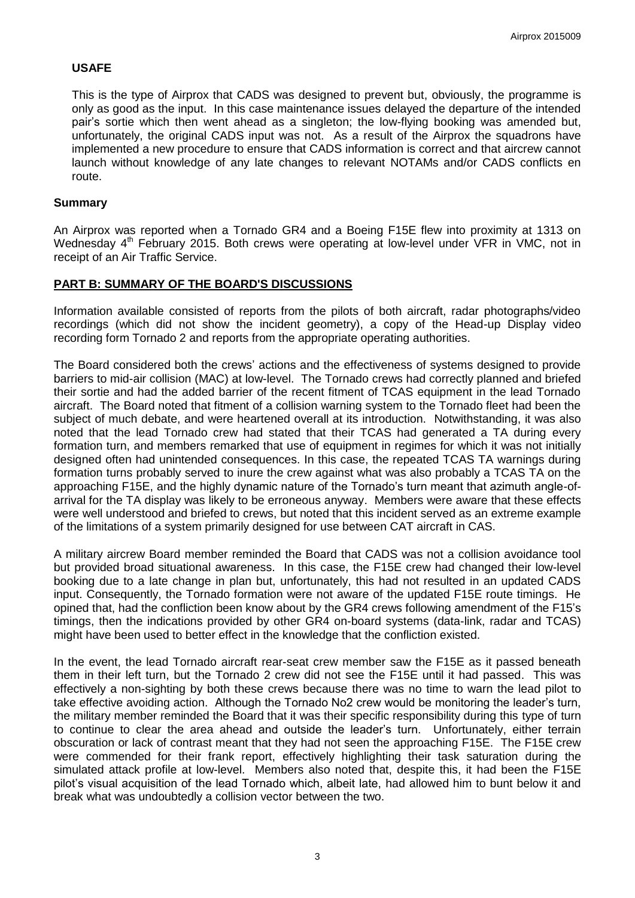# **USAFE**

This is the type of Airprox that CADS was designed to prevent but, obviously, the programme is only as good as the input. In this case maintenance issues delayed the departure of the intended pair's sortie which then went ahead as a singleton; the low-flying booking was amended but, unfortunately, the original CADS input was not. As a result of the Airprox the squadrons have implemented a new procedure to ensure that CADS information is correct and that aircrew cannot launch without knowledge of any late changes to relevant NOTAMs and/or CADS conflicts en route.

## **Summary**

An Airprox was reported when a Tornado GR4 and a Boeing F15E flew into proximity at 1313 on Wednesday 4<sup>th</sup> February 2015. Both crews were operating at low-level under VFR in VMC, not in receipt of an Air Traffic Service.

# **PART B: SUMMARY OF THE BOARD'S DISCUSSIONS**

Information available consisted of reports from the pilots of both aircraft, radar photographs/video recordings (which did not show the incident geometry), a copy of the Head-up Display video recording form Tornado 2 and reports from the appropriate operating authorities.

The Board considered both the crews' actions and the effectiveness of systems designed to provide barriers to mid-air collision (MAC) at low-level. The Tornado crews had correctly planned and briefed their sortie and had the added barrier of the recent fitment of TCAS equipment in the lead Tornado aircraft. The Board noted that fitment of a collision warning system to the Tornado fleet had been the subject of much debate, and were heartened overall at its introduction. Notwithstanding, it was also noted that the lead Tornado crew had stated that their TCAS had generated a TA during every formation turn, and members remarked that use of equipment in regimes for which it was not initially designed often had unintended consequences. In this case, the repeated TCAS TA warnings during formation turns probably served to inure the crew against what was also probably a TCAS TA on the approaching F15E, and the highly dynamic nature of the Tornado's turn meant that azimuth angle-ofarrival for the TA display was likely to be erroneous anyway. Members were aware that these effects were well understood and briefed to crews, but noted that this incident served as an extreme example of the limitations of a system primarily designed for use between CAT aircraft in CAS.

A military aircrew Board member reminded the Board that CADS was not a collision avoidance tool but provided broad situational awareness. In this case, the F15E crew had changed their low-level booking due to a late change in plan but, unfortunately, this had not resulted in an updated CADS input. Consequently, the Tornado formation were not aware of the updated F15E route timings. He opined that, had the confliction been know about by the GR4 crews following amendment of the F15's timings, then the indications provided by other GR4 on-board systems (data-link, radar and TCAS) might have been used to better effect in the knowledge that the confliction existed.

In the event, the lead Tornado aircraft rear-seat crew member saw the F15E as it passed beneath them in their left turn, but the Tornado 2 crew did not see the F15E until it had passed. This was effectively a non-sighting by both these crews because there was no time to warn the lead pilot to take effective avoiding action. Although the Tornado No2 crew would be monitoring the leader's turn, the military member reminded the Board that it was their specific responsibility during this type of turn to continue to clear the area ahead and outside the leader's turn. Unfortunately, either terrain obscuration or lack of contrast meant that they had not seen the approaching F15E. The F15E crew were commended for their frank report, effectively highlighting their task saturation during the simulated attack profile at low-level. Members also noted that, despite this, it had been the F15E pilot's visual acquisition of the lead Tornado which, albeit late, had allowed him to bunt below it and break what was undoubtedly a collision vector between the two.